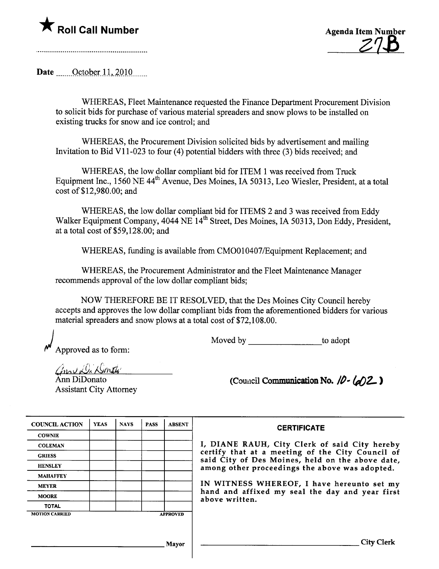## \* **Foll Call Number** Agenda Item Number

<u>Z7B</u>

Date  $\qquad$  October 11, 2010

WHEREAS, Fleet Maintenance requested the Finance Department Procurement Division to solicit bids for purchase of various material spreaders and snow plows to be installed on existing trucks for snow and ice control; and

WHEREAS, the Procurement Division solicited bids by advertisement and mailing Invitation to Bid V11-023 to four (4) potential bidders with three (3) bids received; and

WHEREAS, the low dollar compliant bid for ITEM 1 was received from Truck Equipment Inc., 1560 NE 44<sup>th</sup> Avenue, Des Moines, IA 50313, Leo Wiesler, President, at a total cost of\$12,980.00; and

WHEREAS, the low dollar compliant bid for ITEMS 2 and 3 was received from Eddy Walker Equipment Company, 4044 NE 14<sup>th</sup> Street, Des Moines, IA 50313, Don Eddy, President, at a total cost of\$59,128.00; and

WHEREAS, funding is available from CMO010407/Equipment Replacement; and

WHEREAS, the Procurement Administrator and the Fleet Maintenance Manager recommends approval of the low dollar compliant bids;

NOW THEREFORE BE IT RESOLVED, that the Des Moines City Council hereby accepts and approves the low dollar compliant bids from the aforementioned bidders for varous material spreaders and snow plows at a total cost of \$72,108.00.

Moved by \_\_\_\_\_\_\_\_\_\_\_\_\_\_\_\_to adopt Approved as to form:

Ann DiDonato Assistant City Attorney

(Council Communication No.  $\sqrt{D} - \frac{1}{2}$ )

| <b>COUNCIL ACTION</b> | <b>YEAS</b> | <b>NAYS</b> | <b>PASS</b> | <b>ABSENT</b>   |
|-----------------------|-------------|-------------|-------------|-----------------|
| <b>COWNIE</b>         |             |             |             |                 |
| <b>COLEMAN</b>        |             |             |             |                 |
| <b>GRIESS</b>         |             |             |             |                 |
| <b>HENSLEY</b>        |             |             |             |                 |
| <b>MAHAFFEY</b>       |             |             |             |                 |
| <b>MEYER</b>          |             |             |             |                 |
| <b>MOORE</b>          |             |             |             |                 |
| <b>TOTAL</b>          |             |             |             |                 |
| <b>MOTION CARRIED</b> |             |             |             | <b>APPROVED</b> |

## **CERTIFICATE**

I, DIANE RAUH, City Clerk of said City hereby GRIESS COLLEGARY COUNCIL COLLEGARY COUNCIL COLLEGARY COUNCIL OF CHILD COUNCIL OF CHILD COUNCIL OF CHILD COUNCIL OF said City of Des Moines, held on the above date, among other proceedings the above was adopted.

> IN WITNESS WHEREOF, I have hereunto set my hand and affixed my seal the day and year first a bove written.